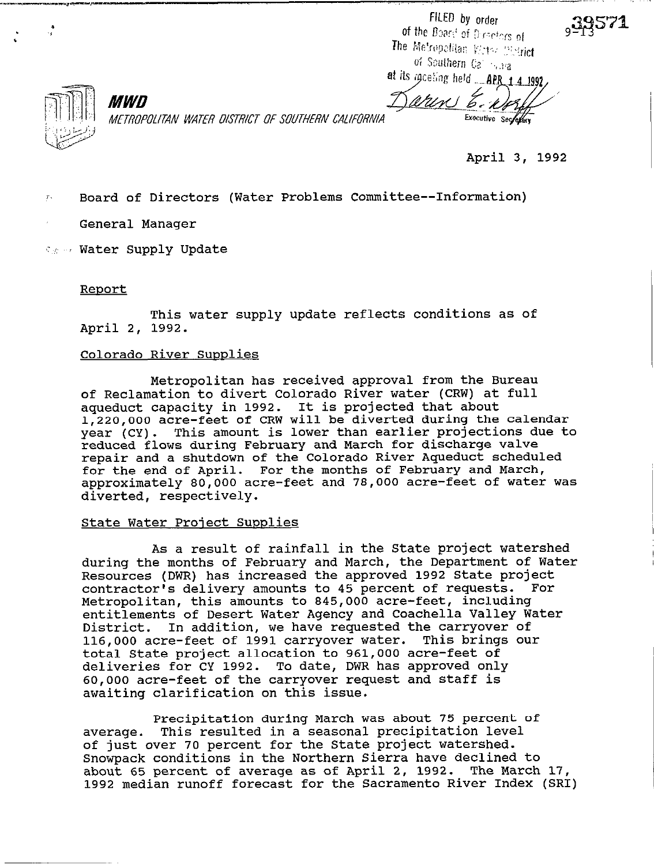FILED by order of the Board of Directors of The Metropolitan Weter Metrich of Southern Call 1931a at its meeting held \_\_ APR\_1\_4\_1992

METROPOLITAN WATER DISTRICT OF SOUTHERN CALIFORNIA

arin Executive Secretary

**April 3, 1992** 

7. **Board of Directors (Water Problems Committee--InfOrmatiOn)** 

**General Manager** 

*MWD* 

**'-'I** 'I **Water Supply Update** 

#### Report

**This water supply update reflects conditions as of April 2, 1992.** 

## **Colorado River Supplies**

**Metropolitan has received approval from the Bureau of Reclamation to divert Colorado River water (CRW) at full aqueduct capacity in 1992. It is projected that about 1,220,OOO acre-feet of CRW will be diverted during the calendar year (CY). This amount is lower than earlier projections due to reduced flows during February and March for discharge valve repair and a shutdown of the Colorado River Aqueduct scheduled for the end of April. For the months of February and March, approximately 80,000 acre-feet and 78,000 acre-feet of Water was diverted, respectively.** 

## **State Water Project Supplies**

**As a result of rainfall in the State project watershed during the months of February and March, the Department of Water Resources (DWR) has increased the approved 1992 State project contractor's delivery amounts to 45 percent of requests. For Metropolitan, this amounts to 845,000 acre-feet, including entitlements of Desert Water Agency and Coachella Valley Water District. In addition, we have requested the carryover of 116,000 acre-feet of 1991 carryover Water. This brings our total State project allocation to 961,000 acre-feet of deliveries for CY 1992. To date, DWR has approved only 60,000 acre-feet of the carryover request and staff is awaiting clarification on this issue.** 

**Precipitation during March was about 75 percent of average. This resulted in a seasonal precipitation level of just over 70 percent for the State project watershed. Snowpack conditions in the Northern Sierra have declined to**  about 65 percent of average as of April 2, 1992. **1992 median runoff forecast for the Sacramento River Index (SRI)**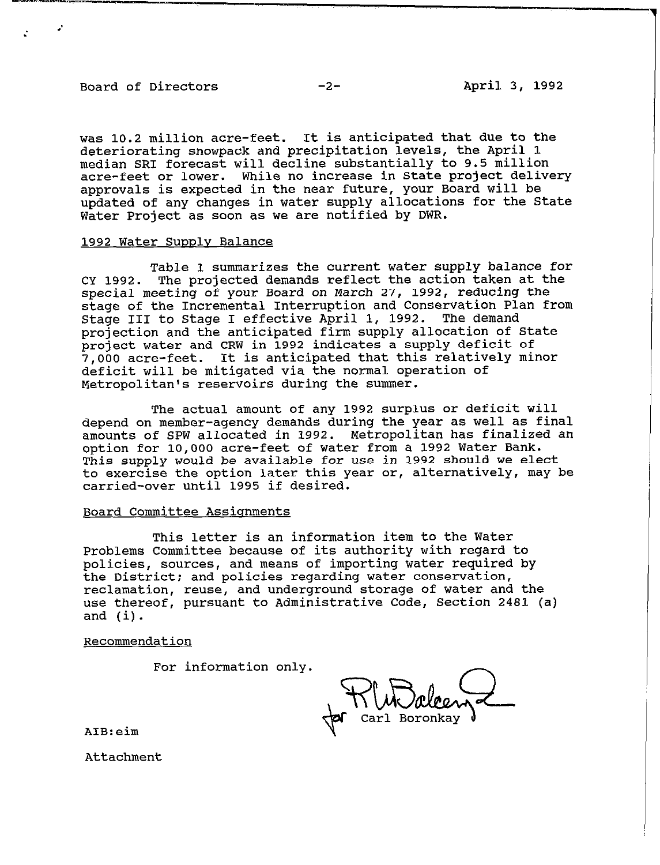## Board of Directors -2- April 3, 1992

was 10.2 million acre-feet. It is anticipated that due to the deteriorating snowpack and precipitation levels, the April 1 median SRI forecast will decline substantially to 9.5 million acre-feet or lower. While no increase in State project delivery approvals is expected in the near future, your Board will be updated of any changes in water supply allocations for the State Water Project as soon as we are notified by DWR.

### 1992 Water Supply Balance

Table 1 summarizes the current water supply balance for CY 1992. The projected demands reflect the action taken at the special meeting of your Board on March 27, 1992, reducing the stage of the Incremental Interruption and Conservation Plan from Stage III to Stage I effective April 1, 1992. The demand projection and the anticipated firm supply allocation of State project water and CRW in 1992 indicates a supply deficit of 7,000 acre-feet. It is anticipated that this relatively minor deficit will be mitigated via the normal operation of Metropolitan's reservoirs during the summer.

The actual amount of any 1992 surplus or deficit will depend on member-agency demands during the year as well as final amounts of SPW allocated in 1992. Metropolitan has finalized an option for 10,000 acre-feet of water from a 1992 Water Bank. This supply would be available for use in 1992 should we elect to exercise the option later this year or, alternatively, may be carried-over until 1995 if desired.

#### Board Committee Assionments

This letter is an information item to the Water Problems Committee because of its authority with regard to policies, sources, and means of importing water required by the District; and policies regarding water conservation, reclamation, reuse, and underground storage of water and the use thereof, pursuant to Administrative Code, Section 2481 (a) and (i).

Recommendation

For information only.

Carl Boronkay

AIB:eim

Attachment